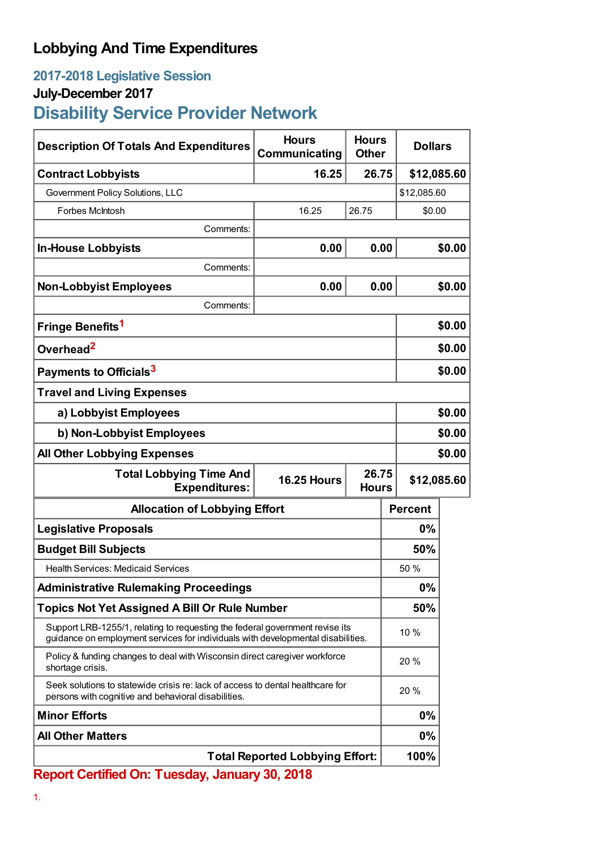## **Lobbying And Time Expenditures**

### **2017-2018 Legislative Session**

### **July-December 2017**

# **Disability Service Provider Network**

| <b>Description Of Totals And Expenditures</b>                                                                                                                    | <b>Hours</b><br>Communicating | <b>Hours</b><br><b>Other</b> | <b>Dollars</b> |        |
|------------------------------------------------------------------------------------------------------------------------------------------------------------------|-------------------------------|------------------------------|----------------|--------|
| <b>Contract Lobbyists</b>                                                                                                                                        | 16.25                         | 26.75                        | \$12,085.60    |        |
| Government Policy Solutions, LLC                                                                                                                                 |                               |                              | \$12,085.60    |        |
| Forbes McIntosh                                                                                                                                                  | 16.25                         | 26.75                        | \$0.00         |        |
| Comments:                                                                                                                                                        |                               |                              |                |        |
| <b>In-House Lobbyists</b>                                                                                                                                        | 0.00                          | 0.00                         |                | \$0.00 |
| Comments:                                                                                                                                                        |                               |                              |                |        |
| <b>Non-Lobbyist Employees</b>                                                                                                                                    | 0.00                          | 0.00                         |                | \$0.00 |
| Comments:                                                                                                                                                        |                               |                              |                |        |
| Fringe Benefits <sup>1</sup>                                                                                                                                     |                               |                              |                | \$0.00 |
| Overhead <sup>2</sup>                                                                                                                                            |                               |                              | \$0.00         |        |
| Payments to Officials <sup>3</sup>                                                                                                                               |                               |                              |                | \$0.00 |
| <b>Travel and Living Expenses</b>                                                                                                                                |                               |                              |                |        |
| a) Lobbyist Employees                                                                                                                                            |                               |                              | \$0.00         |        |
| b) Non-Lobbyist Employees                                                                                                                                        |                               |                              | \$0.00         |        |
| <b>All Other Lobbying Expenses</b>                                                                                                                               |                               |                              | \$0.00         |        |
| 26.75<br><b>Total Lobbying Time And</b><br><b>16.25 Hours</b><br><b>Expenditures:</b><br><b>Hours</b>                                                            |                               |                              | \$12,085.60    |        |
| <b>Allocation of Lobbying Effort</b>                                                                                                                             |                               |                              | <b>Percent</b> |        |
| <b>Legislative Proposals</b>                                                                                                                                     |                               |                              | 0%             |        |
| <b>Budget Bill Subjects</b>                                                                                                                                      |                               |                              | 50%            |        |
| <b>Health Services: Medicaid Services</b>                                                                                                                        |                               |                              | 50 %           |        |
| <b>Administrative Rulemaking Proceedings</b>                                                                                                                     |                               |                              | 0%             |        |
| <b>Topics Not Yet Assigned A Bill Or Rule Number</b>                                                                                                             |                               |                              | 50%            |        |
| Support LRB-1255/1, relating to requesting the federal government revise its<br>guidance on employment services for individuals with developmental disabilities. |                               |                              | 10 %           |        |
| Policy & funding changes to deal with Wisconsin direct caregiver workforce<br>shortage crisis.                                                                   |                               |                              | 20 %           |        |
| Seek solutions to statewide crisis re: lack of access to dental healthcare for<br>persons with cognitive and behavioral disabilities.                            |                               |                              | 20 %           |        |
| <b>Minor Efforts</b>                                                                                                                                             |                               |                              | 0%             |        |
| <b>All Other Matters</b>                                                                                                                                         |                               |                              | 0%             |        |
| <b>Total Reported Lobbying Effort:</b>                                                                                                                           |                               |                              | 100%           |        |

**Report Certified On: Tuesday, January 30, 2018**